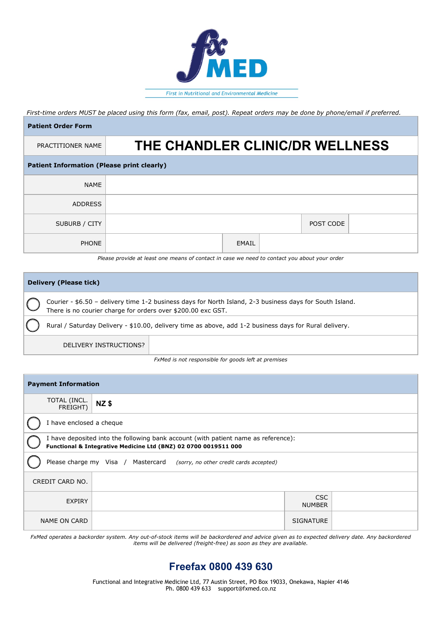

*First-time orders MUST be placed using this form (fax, email, post). Repeat orders may be done by phone/email if preferred.*

| <b>Patient Order Form</b>                         |                                 |  |  |  |  |  |  |
|---------------------------------------------------|---------------------------------|--|--|--|--|--|--|
| PRACTITIONER NAME                                 | THE CHANDLER CLINIC/DR WELLNESS |  |  |  |  |  |  |
| <b>Patient Information (Please print clearly)</b> |                                 |  |  |  |  |  |  |
| <b>NAME</b>                                       |                                 |  |  |  |  |  |  |
| <b>ADDRESS</b>                                    |                                 |  |  |  |  |  |  |
| SUBURB / CITY                                     | POST CODE                       |  |  |  |  |  |  |
| <b>PHONE</b>                                      | EMAIL                           |  |  |  |  |  |  |

*Please provide at least one means of contact in case we need to contact you about your order*

| Delivery (Please tick) |                                                                                                                                                                          |  |  |  |
|------------------------|--------------------------------------------------------------------------------------------------------------------------------------------------------------------------|--|--|--|
|                        | Courier - \$6.50 - delivery time 1-2 business days for North Island, 2-3 business days for South Island.<br>There is no courier charge for orders over \$200.00 exc GST. |  |  |  |
|                        | Rural / Saturday Delivery - \$10.00, delivery time as above, add 1-2 business days for Rural delivery.                                                                   |  |  |  |
|                        | DELIVERY INSTRUCTIONS?                                                                                                                                                   |  |  |  |

*FxMed is not responsible for goods left at premises*

| <b>Payment Information</b>                                                                                                                            |             |                             |  |  |  |  |  |
|-------------------------------------------------------------------------------------------------------------------------------------------------------|-------------|-----------------------------|--|--|--|--|--|
| TOTAL (INCL.<br>FREIGHT)                                                                                                                              | <b>NZ\$</b> |                             |  |  |  |  |  |
| I have enclosed a cheque                                                                                                                              |             |                             |  |  |  |  |  |
| I have deposited into the following bank account (with patient name as reference):<br>Functional & Integrative Medicine Ltd (BNZ) 02 0700 0019511 000 |             |                             |  |  |  |  |  |
| Please charge my Visa / Mastercard (sorry, no other credit cards accepted)                                                                            |             |                             |  |  |  |  |  |
| CREDIT CARD NO.                                                                                                                                       |             |                             |  |  |  |  |  |
| <b>EXPIRY</b>                                                                                                                                         |             | <b>CSC</b><br><b>NUMBER</b> |  |  |  |  |  |
| NAME ON CARD                                                                                                                                          |             | <b>SIGNATURE</b>            |  |  |  |  |  |

*FxMed operates a backorder system. Any out-of-stock items will be backordered and advice given as to expected delivery date. Any backordered items will be delivered (freight-free) as soon as they are available.*

## **Freefax 0800 439 630**

Functional and Integrative Medicine Ltd, 77 Austin Street, PO Box 19033, Onekawa, Napier 4146 Ph. 0800 439 633 support@fxmed.co.nz